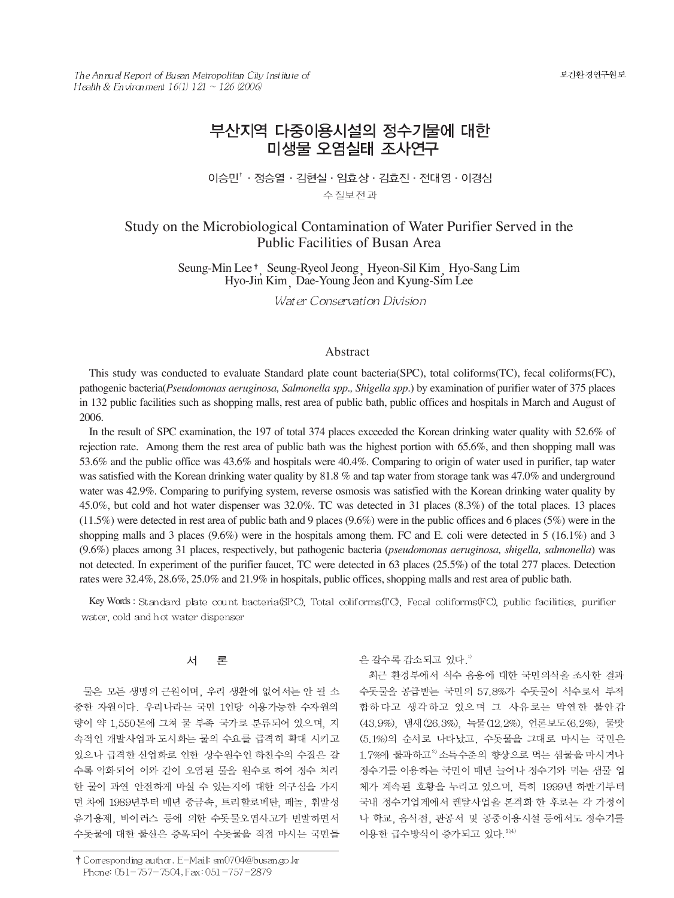보건환경연구원보

The Annual Report of Busan Metropolitan City Institute of Health & Environment  $16(1)$   $121 \sim 126$  (2006)

# 부산지역 다중이용시설의 정수기물에 대한 미생물 오염실태 조사연구

이승민<sup>↑</sup> · 정승열 · 김현실 · 임효상 · 김효진 · 전대영 · 이경심 수질보전과

## Study on the Microbiological Contamination of Water Purifier Served in the Public Facilities of Busan Area

Seung-Min Lee<sup>†</sup>, Seung-Ryeol Jeong Hyeon-Sil Kim Hyo-Sang Lim Hyo-Jin Kim Dae-Young Jeon and Kyung-Sim Lee

Water Conservation Division

### Abstract

This study was conducted to evaluate Standard plate count bacteria(SPC), total coliforms(TC), fecal coliforms(FC), pathogenic bacteria(*Pseudomonas aeruginosa, Salmonella spp., Shigella spp.*) by examination of purifier water of 375 places in 132 public facilities such as shopping malls, rest area of public bath, public offices and hospitals in March and August of 2006.

In the result of SPC examination, the 197 of total 374 places exceeded the Korean drinking water quality with 52.6% of rejection rate. Among them the rest area of public bath was the highest portion with 65.6%, and then shopping mall was 53.6% and the public office was 43.6% and hospitals were 40.4%. Comparing to origin of water used in purifier, tap water was satisfied with the Korean drinking water quality by 81.8 % and tap water from storage tank was 47.0% and underground water was 42.9%. Comparing to purifying system, reverse osmosis was satisfied with the Korean drinking water quality by 45.0%, but cold and hot water dispenser was 32.0%. TC was detected in 31 places (8.3%) of the total places. 13 places  $(11.5\%)$  were detected in rest area of public bath and 9 places  $(9.6\%)$  were in the public offices and 6 places (5%) were in the shopping malls and 3 places (9.6%) were in the hospitals among them. FC and E. coli were detected in 5 (16.1%) and 3 (9.6%) places among 31 places, respectively, but pathogenic bacteria (*pseudomonas aeruginosa, shigella, salmonella*) was not detected. In experiment of the purifier faucet, TC were detected in 63 places (25.5%) of the total 277 places. Detection rates were 32.4%, 28.6%, 25.0% and 21.9% in hospitals, public offices, shopping malls and rest area of public bath.

Key Words: Standard plate count bacteria (SPC), Total coliforms (TC), Fecal coliforms (FC), public facilities, purifier water, cold and hot water dispenser

#### 서 론

물은 모든 생명의 근원이며, 우리 생활에 없어서는 안 될 소 중한 자원이다. 우리나라는 국민 1인당 이용가능한 수자원의 량이 약 1,550톤에 그쳐 물 부족 국가로 분류되어 있으며, 지 속적인 개발사업과 도시화는 물의 수요를 급격히 확대 시키고 있으나 급격한 산업화로 인한 상수원수인 하천수의 수질은 갈 수록 악화되어 이와 같이 오염된 물을 원수로 하여 정수 처리 한 물이 과연 안전하게 마실 수 있는지에 대한 의구심을 가지 던 차에 1989년부터 매년 중금속, 트리할로메탄, 페놀, 휘발성 유기용제, 바이러스 등에 의한 수돗물오염사고가 빈발하면서 수돗물에 대한 불신은 증폭되어 수돗물을 직접 마시는 국민들 은 갈수록 감소되고 있다.<sup>1)</sup>

최근 환경부에서 식수 음용에 대한 국민의식을 조사한 결과 수돗물을 공급받는 국민의 57.8%가 수돗물이 식수로서 부적 합하다고 생각하고 있으며 그 사유로는 막연한 불안감 (43.9%), 냄새 (26.3%), 녹물 (12.2%), 언론보도 (6.2%), 물맛 (5.1%)의 순서로 나타났고, 수돗물을 그대로 마시는 국민은 1.7%에 불과하고<sup>2)</sup> 소득수준의 향상으로 먹는 샘물을 마시거나 정수기를 이용하는 국민이 매년 늘어나 정수기와 먹는 샘물 업 체가 계속된 호황을 누리고 있으며, 특히 1999년 하반기부터 국내 정수기업계에서 렌탈사업을 본격화 한 후로는 각 가정이 나 학교, 음식점, 관공서 및 공중이용시설 등에서도 정수기를 이용한 급수방식이 증가되고 있다. 3)4)

<sup>†</sup> Corresponding author. E-Mail: sm0704@busan.go.kr Phone: 051-757-7504, Fax: 051-757-2879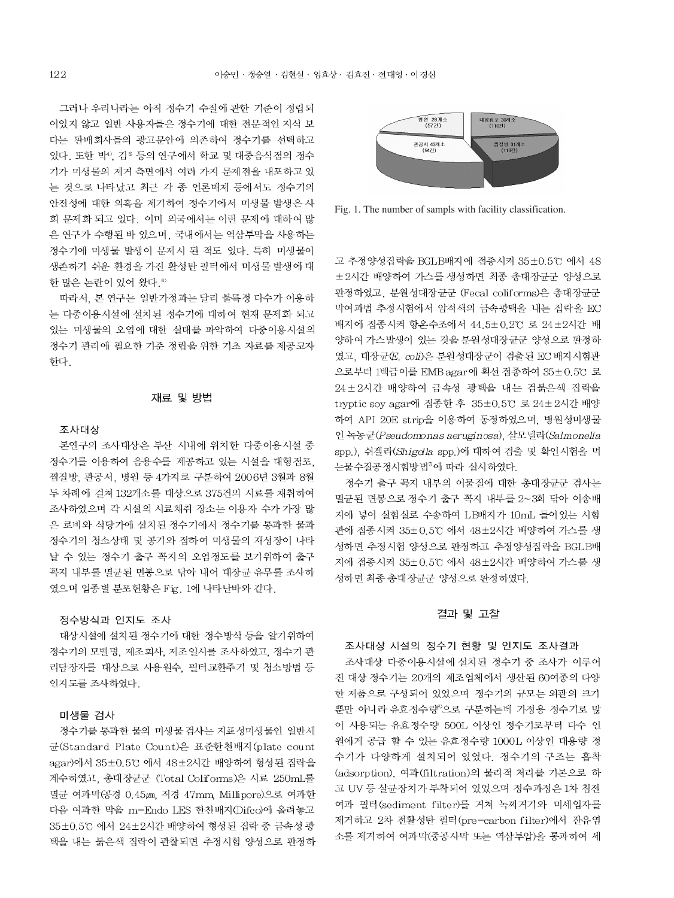그러나 우리나라는 아직 정수기 수질에 관한 기준이 정립되 어있지 않고 일반 사용자들은 정수기에 대한 전문적인 지식 보 다는 판매회사들의 광고문안에 의존하여 정수기를 선택하고 있다. 또한 박인 김이등의 연구에서 학교 및 대중음식점의 정수 기가 미생물의 제거 측면에서 여러 가지 문제점을 내포하고 있 는 것으로 나타났고 최근 각 종 언론매체 등에서도 정수기의 안전성에 대한 의혹을 제기하여 정수기에서 미생물 발생은 사 회 문제화 되고 있다. 이미 외국에서는 이런 문제에 대하여 많 은 연구가 수행된 바 있으며, 국내에서는 역삼투막을 사용하는 정수기에 미생물 발생이 문제시 된 적도 있다. 특히 미생물이 생존하기 쉬운 환경을 가진 활성탄 필터에서 미생물 발생에 대 한 많은 논란이 있어 왔다.<sup>6)</sup>

따라서, 본 연구는 일반가정과는 달리 불특정 다수가 이용하 는 다중이용시설에 설치된 정수기에 대하여 현재 문제화 되고 있는 미생물의 오염에 대한 실태를 파악하여 다중이용시설의 정수기 관리에 필요한 기준 정립을 위한 기초 자료를 제공코자 한다.

#### 재료 및 방법

#### 조사대상

본연구의 조사대상은 부산 시내에 위치한 다중이용시설 중 정수기를 이용하여 음용수를 제공하고 있는 시설을 대형점포, 찜질방, 관공서, 병원 등 4가지로 구분하여 2006년 3월과 8월 두 차례에 걸쳐 132개소를 대상으로 375건의 시료를 채취하여 조사하였으며 각 시설의 시료채취 장소는 이용자 수가 가장 많 은 로비와 식당가에 설치된 정수기에서 정수기를 통과한 물과 정수기의 청소상태 및 공기와 접하여 미생물의 재성장이 나타 날 수 있는 정수기 출구 꼭지의 오염정도를 보기위하여 출구 꼭지 내부를 멸균된 면봉으로 닦아 내어 대장균 유무를 조사하 였으며 업종별 분포현황은 Fig. 1에 나타난바와 같다.

#### 정수방식과 인지도 조사

대상시설에 설치된 정수기에 대한 정수방식 등을 알기위하여 정수기의 모델명, 제조회사, 제조일시를 조사하였고, 정수기 관 리담장자를 대상으로 사용원수, 필터교환주기 및 청소방법 등 인지도를 조사하였다.

#### 미생물 검사

정수기를 통과한 물의 미생물 검사는 지표성미생물인 일반세 균(Standard Plate Count)은 표준한천배지(plate count agar)에서 35±0.5℃ 에서 48±2시간 배양하여 형성된 집락을 계수하였고, 총대장균군 (Total Coliforms)은 시료 250mL를 멸균 여과막(공경 0.45µm, 직경 47mm, Millipore)으로 여과한 다음 여과한 막을 m-Endo LES 한천배지(Difco)에 올려놓고 35±0.5℃ 에서 24±2시간 배양하여 형성된 집락 중 금속성 광 택을 내는 붉은색 집락이 관찰되면 추정시험 양성으로 판정하



Fig. 1. The number of sampls with facility classification.

고 추정양성집락을 BGLB배지에 접종시켜 35±0.5℃ 에서 48 +2시간 배양하여 가스를 생성하면 최종 총대장균군 양성으로 판정하였고, 분원성대장균군 (Fecal coliforms)은 총대장균군 막여과법 추정시험에서 암적색의 금속광택을 내는 집락을 EC 배지에 접종시켜 항온수조에서 44.5±0.2℃ 로 24±2시간 배 양하여 가스발생이 있는 것을 분원성대장균군 양성으로 판정하 였고, 대장균(E, coli)은 분원성대장군이 검출된 EC 배지시험관 으로부터 1백금이를 EMB agar에 획선 접종하여 35±0.5℃ 로 24±2시간 배양하여 금속성 광택을 내는 검붉은색 집락을 tryptic soy agar에 접종한 후 35±0.5℃ 로 24±2시간 배양 하여 API 20E strip을 이용하여 동정하였으며, 병원성미생물 인 녹농군(Pseudomonas aeruginosa), 살모넬라(Salmonella spp.), 쉬겔라(Shigella spp.)에 대하여 검출 및 확인시험을 먹 는물수질공정시험방법"에 따라 실시하였다.

정수기 출구 꼭지 내부의 이물질에 대한 총대장균군 검사는 멸균된 면봉으로 정수기 출구 꼭지 내부를 2~3회 닦아 이송배 지에 넣어 실험실로 수송하여 LB배지가 10mL 들어있는 시험 관에 접종시켜 35±0.5℃ 에서 48±2시간 배양하여 가스를 생 성하면 추정시험 양성으로 판정하고 추정양성집락을 BGLB배 지에 접종시켜 35±0.5℃ 에서 48±2시간 배양하여 가스를 생 성하면 최종 총대장균군 양성으로 판정하였다.

#### 결과 및 고찰

# 조사대상 시설의 정수기 현황 및 인지도 조사결과 조사대상 다중이용시설에 설치된 정수기 중 조사가 이루어 진 대상 정수기는 20개의 제조업체에서 생산된 60여종의 다양 한 제품으로 구성되어 있었으며 정수기의 규모는 외관의 크기 뿐만 아니라 유효정수량 으로 구분하는데 가정용 정수기로 많 이 사용되는 유효정수량 500L 이상인 정수기로부터 다수 인 원에게 공급 할 수 있는 유효정수량 1000L 이상인 대용량 정 수기가 다양하게 설치되어 있었다. 정수기의 구조는 흡착 (adsorption), 여과(filtration)의 물리적 처리를 기본으로 하 고 UV 등 살균장치가 부착되어 있었으며 정수과정은 1차 침전 여과 필터(sediment filter)를 거쳐 녹찌거기와 미세입자를 제거하고 2차 전활성탄 필터 (pre-carbon filter)에서 잔유염 소를 제거하여 여과막(중공사막 또는 역삼투압)을 통과하여 세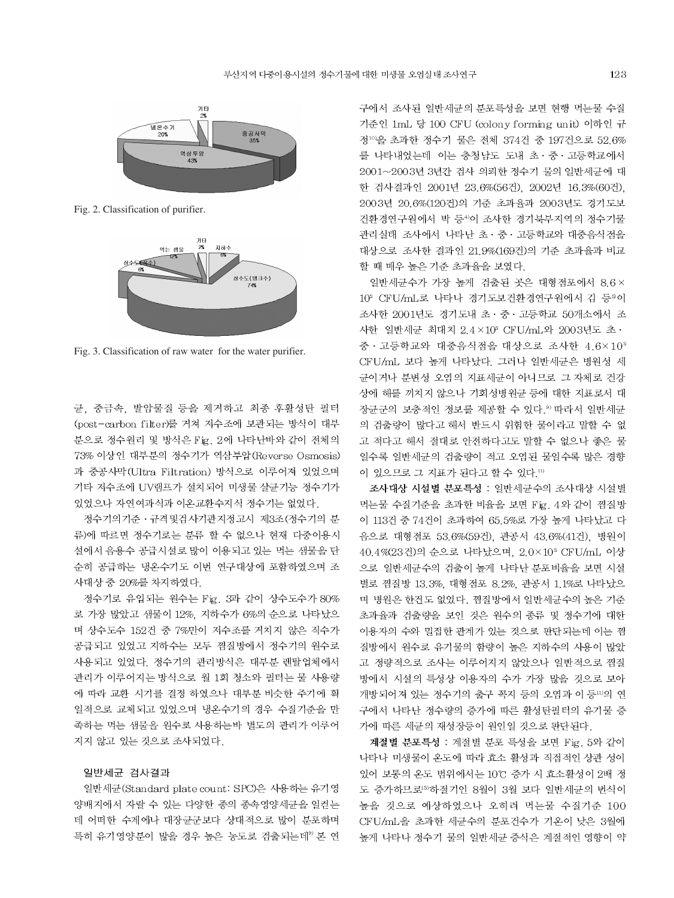

Fig. 2. Classification of purifier.



Fig. 3. Classification of raw water for the water purifier.

균. 중금속. 발암물질 등을 제거하고 최종 후활성탄 필터 (post-carbon filter)를 거쳐 저수조에 보관되는 방식이 대부 분으로 정수원리 및 방식은 Fig. 2에 나타난바와 같이 전체의 73% 이상인 대부분의 정수기가 역삼투압(Reverse Osmosis) 과 중공사막(Ultra Filtration) 방식으로 이루어져 있었으며 기타 저수조에 UV램프가 설치되어 미생물 살균기능 정수기가 있었으나 자연여과식과 이온교환수지식 정수기는 없었다.

정수기의기준 · 규격및검사기관지정고시 제3조(정수기의 분 류)에 따르면 정수기로는 분류 할 수 없으나 현재 다중이용시 설에서 음용수 공급시설로 많이 이용되고 있는 먹는 샘물을 단 순히 공급하는 냉온수기도 이번 연구대상에 포함하였으며 조 사대상 중 20%를 차지하였다.

정수기로 유입되는 원수는 Fig. 3과 같이 상수도수가 80% 로 가장 많았고 샘물이 12%, 지하수가 6%의 순으로 나타났으 며 상수도수 152건 중 7%만이 저수조를 거치지 않은 직수가 공급되고 있었고 지하수는 모두 찜질방에서 정수기의 원수로 사용되고 있었다. 정수기의 관리방식은 대부분 렌탈업체에서 관리가 이루어지는 방식으로 월 1회 청소와 필터는 물 사용량 에 따라 교환 시기를 결정 하였으나 대부분 비슷한 주기에 획 일적으로 교체되고 있었으며 냉온수기의 경우 수질기준을 만 족하는 먹는 샘물을 원수로 사용하는바 별도의 관리가 이루어 지지 않고 있는 것으로 조사되었다.

#### 일반세균 검사결과

일반세균(Standard plate count: SPC)은 사용하는 유기영 양배지에서 자랄 수 있는 다양한 종의 종속영양세균을 일컫는 데 어떠한 수계에나 대장균군보다 상대적으로 많이 분포하며 특히 유기영양분이 많을 경우 높은 농도로 검출되는데<sup>9)</sup> 본 연 구에서 조사된 일반세균의 분포특성을 보면 현행 먹는물 수질 기준인 1mL 당 100 CFU (colony forming unit) 이하인 규 정10)을 초과한 정수기 물은 전체 374건 중 197건으로 52.6% 를 나타내었는데 이는 충청남도 도내 초·중·고등학교에서 2001~2003년 3년간 검사 의뢰한 정수기 물의 일반세균에 대 한 검사결과인 2001년 23.6%(56건). 2002년 16.3%(60건). 2003년 20.6%(120건)의 기준 초과율과 2003년도 경기도보 건환경연구원에서 박 등40 조사한 경기북부지역의 정수기물 관리실태 조사에서 나타난 초 · 중 · 고등학교와 대중음식점을 대상으로 조사한 결과인 21.9%(169건)의 기준 초과율과 비교 할 때 매우 높은 기준 초과율을 보였다.

일반세균수가 가장 높게 검출된 곳은 대형점포에서 8.6× 10° CFU/mL로 나타나 경기도보건환경연구원에서 김 등®이 조사한 2001년도 경기도내 초 · 중 · 고등학교 50개소에서 조 사한 일반세균 최대치 2.4×10<sup>8</sup> CFU/mL와 2003년도 초 · 중 · 고등학교와 대중음식점을 대상으로 조사한 4.6×10<sup>3</sup> CFU/mL 보다 높게 나타났다. 그러나 일반세균은 병원성 세 균이거나 분변성 오염의 지표세균이 아니므로 그 자체로 건강 상에 해를 끼치지 않으나 기회성병원균 등에 대한 지표로서 대 장균군의 보충적인 정보를 제공할 수 있다. 9) 따라서 일반세균 의 검출량이 많다고 해서 반드시 위험한 물이라고 말할 수 없 고 적다고 해서 절대로 안전하다고도 말할 수 없으나 좋은 물 일수록 일반세균의 검출량이 적고 오염된 물일수록 많은 경향 이 있으므로 그 지표가 된다고 할 수 있다.10

조사대상 시설별 분포특성 : 일반세균수의 조사대상 시설별 먹는물 수질기준을 초과한 비율을 보면 Fig. 4와 같이 찜질방 이 113건 중 74건이 초과하여 65.5%로 가장 높게 나타났고 다 음으로 대형점포 53.6%(59건), 관공서 43.6%(41건), 병원이 40.4%(23건)의 순으로 나타났으며, 2.0×10<sup>3</sup> CFU/mL 이상 으로 일반세균수의 검출이 높게 나타난 분포비율을 보면 시설 별로 찜질방 13.3%, 대형점포 8.2%, 관공서 1.1%로 나타났으 며 병원은 한건도 없었다. 찜질방에서 일반세균수의 높은 기준 초과율과 검출량을 보인 것은 원수의 종류 및 정수기에 대한 이용자의 수와 밀접한 관계가 있는 것으로 판단되는데 이는 찜 질방에서 원수로 유기물의 함량이 높은 지하수의 사용이 많았 고 정량적으로 조사는 이루어지지 않았으나 일반적으로 찜질 방에서 시설의 특성상 이용자의 수가 가장 많을 것으로 보아 개방되어져 있는 정수기의 출구 꼭지 등의 오염과 이 등 □의 연 구에서 나타난 정수량의 증가에 따른 활성탄필터의 유기물 증 가에 따른 세균의 재성장등이 원인일 것으로 판단된다.

계절별 분포특성 : 계절별 분포 특성을 보면 Fig. 5와 같이 나타나 미생물이 온도에 따라 효소 활성과 직접적인 상관 성이 있어 보통의 온도 범위에서는 10℃ 증가 시 효소활성이 2배 정 도 증가하므로13) 하절기인 8월이 3월 보다 일반세균의 번식이 높을 것으로 예상하였으나 오히려 먹는물 수질기준 100 CFU/mL을 초과한 세균수의 분포건수가 기온이 낮은 3월에 높게 나타나 정수기 물의 일반세균 증식은 계절적인 영향이 약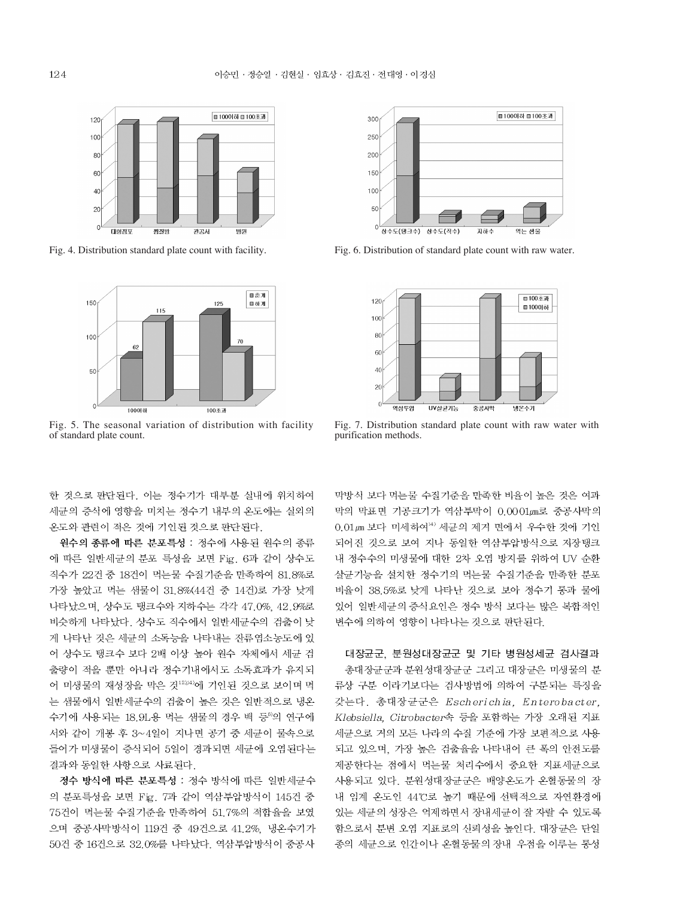

Fig. 4. Distribution standard plate count with facility.



Fig. 5. The seasonal variation of distribution with facility of standard plate count.

한 것으로 판단된다. 이는 정수기가 대부분 실내에 위치하여 세균의 증식에 영향을 미치는 정수기 내부의 온도에는 실외의 온도와 관련이 적은 것에 기인된 것으로 판단된다.

원수의 종류에 따른 분포특성 : 정수에 사용된 원수의 종류 에 따른 일반세균의 분포 특성을 보면 Fig. 6과 같이 상수도 직수가 22건 중 18건이 먹는물 수질기준을 만족하여 81.8%로 가장 높았고 먹는 샘물이 31.8%(44건 중 14건)로 가장 낮게 나타났으며, 상수도 탱크수와 지하수는 각각 47.0%, 42.9%로 비슷하게 나타났다. 상수도 직수에서 일반세균수의 검출이 낮 게 나타난 것은 세균의 소독능을 나타내는 잔류염소농도에 있 어 상수도 탱크수 보다 2배 이상 높아 원수 자체에서 세균 검 출량이 적을 뿐만 아니라 정수기내에서도 소독효과가 유지되 어 미생물의 재성장을 막은 것<sup>12,14</sup>)에 기인된 것으로 보이며 먹 는 샘물에서 일반세균수의 검출이 높은 것은 일반적으로 냉온 수기에 사용되는 18.9L용 먹는 샘물의 경우 백 등<sup>6)</sup>의 연구에 서와 같이 개봉 후 3~4일이 지나면 공기 중 세균이 물속으로 들어가 미생물이 증식되어 5일이 경과되면 세균에 오염된다는 결과와 동일한 사항으로 사료된다.

정수 방식에 따른 분포특성 : 정수 방식에 따른 일반세균수 의 분포특성을 보면 Fig. 7과 같이 역삼투압방식이 145건 중 75건이 먹는물 수질기준을 만족하여 51.7%의 적합율을 보였 으며 중공사막방식이 119건 중 49건으로 41.2%, 냉온수기가 50건 중 16건으로 32.0%를 나타났다. 역삼투압방식이 중공사



Fig. 6. Distribution of standard plate count with raw water.



Fig. 7. Distribution standard plate count with raw water with purification methods.

막방식 보다 먹는물 수질기준을 만족한 비율이 높은 것은 여과 막의 막표면 기공크기가 역삼투막이 0.0001 /m로 중공사막의 0.01 μm 보다 미세하여<sup>14)</sup> 세균의 제거 면에서 우수한 것에 기인 되어진 것으로 보여 지나 동일한 역삼투압방식으로 저장탱크 내 정수수의 미생물에 대한 2차 오염 방지를 위하여 UV 순환 살균기능을 설치한 정수기의 먹는물 수질기준을 만족한 분포 비율이 38.5%로 낮게 나타난 것으로 보아 정수기 통과 물에 있어 일반세균의 증식요인은 정수 방식 보다는 많은 복합적인 변수에 의하여 영향이 나타나는 것으로 판단된다.

대장균군, 분원성대장균군 및 기타 병원성세균 검사결과 총대장균군과 분원성대장균군 그리고 대장균은 미생물의 분 류상 구분 이라기보다는 검사방법에 의하여 구분되는 특징을 갖는다. 총대장균군은 Escherichia, Enterobacter, Klebsiella, Citrobacter속 등을 포함하는 가장 오래된 지표 세균으로 거의 모든 나라의 수질 기준에 가장 보편적으로 사용 되고 있으며, 가장 높은 검출율을 나타내어 큰 폭의 안전도를 제공한다는 점에서 먹는물 처리수에서 중요한 지표세균으로 사용되고 있다. 분원성대장균군은 배양온도가 온혈동물의 장 내 임계 온도인 44℃로 높기 때문에 선택적으로 자연환경에 있는 세균의 성장은 억제하면서 장내세균이 잘 자랄 수 있도록 함으로서 분변 오염 지표로의 신뢰성을 높인다. 대장균은 단일 종의 세균으로 인간이나 온혈동물의 장내 우점을 이루는 통성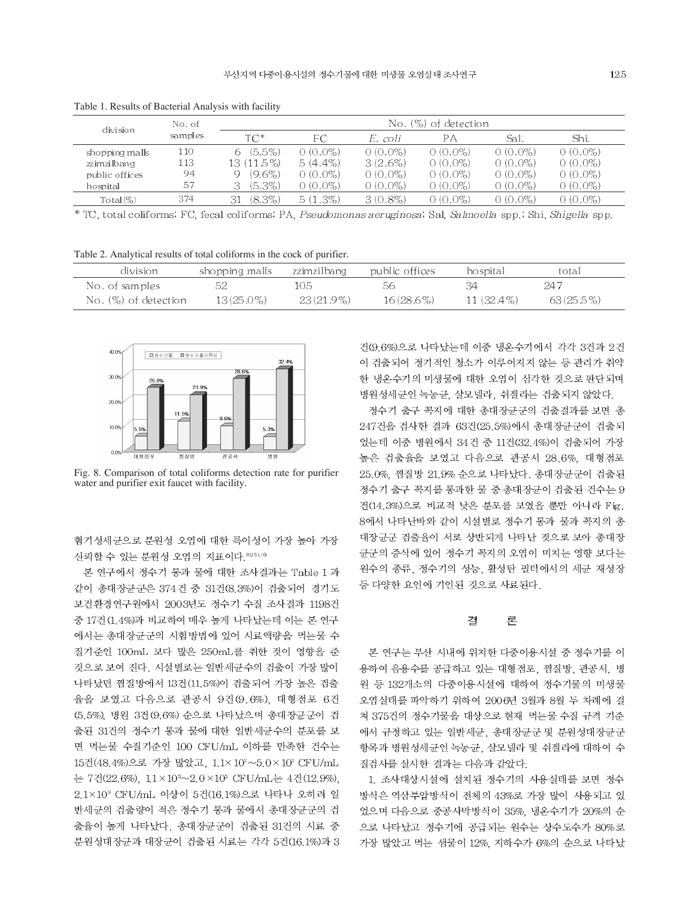| division       | No. of<br>samples | No. (%) of detection |            |            |            |            |            |  |
|----------------|-------------------|----------------------|------------|------------|------------|------------|------------|--|
|                |                   | $TC^*$               | FС         | E. coli    | РA         | Sal.       | Shi.       |  |
| shopping malls | 110               | $(5.5\%)$            | $0(0.0\%)$ | $0(0.0\%)$ | $0(0.0\%)$ | $0(0.0\%)$ | $0(0.0\%)$ |  |
| zzimzilbang    | 113.              | 13 (11.5%)           | $5(4.4\%)$ | $3(2.6\%)$ | $0(0.0\%)$ | $0(0.0\%)$ | $0(0.0\%)$ |  |
| public offices | 94                | $(9.6\%)$<br>Q       | $0(0.0\%)$ | $0(0.0\%)$ | $0(0.0\%)$ | $0(0.0\%)$ | $0(0.0\%)$ |  |
| hospital       | 57                | (5.3%)<br>3          | $0(0.0\%)$ | $0(0.0\%)$ | $0(0.0\%)$ | $0(0.0\%)$ | $0(0.0\%)$ |  |
| $Total (\%)$   | 374               | $(8.3\%)$<br>31      | $5(1.3\%)$ | $3(0.8\%)$ | 0 (0.0%)   | 0 (0.0%)   | $0(0.0\%)$ |  |

Table 1. Results of Bacterial Analysis with facility

\* TC, total coliforms; FC, fecal coliforms; PA, Pseudomonas aeruginosa; Sal, Salmoella spp.; Shi, Shigella spp.

Table 2. Analytical results of total coliforms in the cock of purifier.

| division             | shopping malls | zzimzilbang  | public offices | hospital     | total        |
|----------------------|----------------|--------------|----------------|--------------|--------------|
| No. of samples       |                | 105.         | 56             |              | 247          |
| No. (%) of detection | $13(25.0\%)$   | $23(21.9\%)$ | $16(28.6\%)$   | $11(32.4\%)$ | $63(25.5\%)$ |



Fig. 8. Comparison of total coliforms detection rate for purifier water and purifier exit faucet with facility.

혐기성세균으로 분원성 오염에 대한 특이성이 가장 높아 가장 신뢰할 수 있는 분원성 오염의 지표이다. 9,15,16

본 연구에서 정수기 통과 물에 대한 조사결과는 Table 1 과 같이 총대장균군은 374건 중 31건(8.3%)이 검출되어 경기도 보건환경연구원에서 2003년도 정수기 수질 조사결과 1198건 중 17건 (1.4%)과 비교하여 매우 높게 나타났는데 이는 본 연구 에서는 총대장균군의 시험방법에 있어 시료액량을 먹는물 수 질기준인 100mL 보다 많은 250mL를 취한 것이 영향을 준 것으로 보여 진다. 시설별로는 일반세균수의 검출이 가장 많이 나타났던 찜질방에서 13건 (11.5%)이 검출되어 가장 높은 검출 율을 보였고 다음으로 관공서 9건(9.6%), 대형점포 6건 (5.5%), 병원 3건(9.6%) 순으로 나타났으며 총대장균군이 검 출된 31건의 정수기 통과 물에 대한 일반세균수의 분포를 보 면 먹는물 수질기준인 100 CFU/mL 이하를 만족한 건수는 15건(48.4%)으로 가장 많았고, 1.1×10<sup>2</sup>~5.0×10<sup>2</sup> CFU/mL 는 7건(22.6%),  $1.1 \times 10^{3} \sim 2.0 \times 10^{3}$  CFU/mL는 4건(12.9%), 2.1×10<sup>3</sup> CFU/mL 이상이 5건(16.1%)으로 나타나 오히려 일 반세균의 검출량이 적은 정수기 통과 물에서 총대장균군의 검 출율이 높게 나타났다. 총대장균군이 검출된 31건의 시료 중 분원성대장균과 대장균이 검출된 시료는 각각 5건(16.1%)과 3 건(9.6%)으로 나타났는데 이중 냉온수기에서 각각 3건과 2건 이 검출되어 정기적인 청소가 이루어지지 않는 등 관리가 취약 한 냉온수기의 미생물에 대한 오염이 심각한 것으로 판단되며 병원성세균인 녹농균, 살모넬라, 쉬겔라는 검출되지 않았다.

정수기 출구 꼭지에 대한 총대장균군의 검출결과를 보면 총 247건을 검사한 결과 63건(25.5%)에서 총대장균군이 검출되 었는데 이중 병원에서 34건 중 11건(32.4%)이 검출되어 가장 높은 검출율을 보였고 다음으로 관공서 28.6%, 대형점포 25.0%, 찜질방 21.9% 순으로 나타났다. 총대장균군이 검출된 정수기 출구 꼭지를 통과한 물 중 총대장균이 검출된 건수는 9 건(14.3%)으로 비교적 낮은 분포를 보였을 뿐만 아니라 Fig. 8에서 나타난바와 같이 시설별로 정수기 통과 물과 꼭지의 총 대장균군 검출율이 서로 상반되게 나타난 것으로 보아 총대장 균군의 증식에 있어 정수기 꼭지의 오염이 미치는 영향 보다는 원수의 종류, 정수기의 성능, 활성탄 필터에서의 세균 재성장 등 다양한 요인에 기인된 것으로 사료된다.

#### 곀 론

본 연구는 부산 시내에 위치한 다중이용시설 중 정수기를 이 용하여 음용수를 공급하고 있는 대형점포, 찜질방, 관공서, 병 원 등 132개소의 다중이용시설에 대하여 정수기물의 미생물 오염실태를 파악하기 위하여 2006년 3월과 8월 두 차례에 걸 쳐 375건의 정수기물을 대상으로 현재 먹는물 수질 규격 기준 에서 규정하고 있는 일반세균, 총대장균군 및 분원성대장균군 항목과 병원성세균인 녹농균, 살모넬라 및 쉬겔라에 대하여 수 질검사를 실시한 결과는 다음과 같았다.

1. 조사대상시설에 설치된 정수기의 사용실태를 보면 정수 방식은 역삼투압방식이 전체의 43%로 가장 많이 사용되고 있 었으며 다음으로 중공사막방식이 35%, 냉온수기가 20%의 순 으로 나타났고 정수기에 공급되는 원수는 상수도수가 80%로 가장 많았고 먹는 샘물이 12%. 지하수가 6%의 순으로 나타났